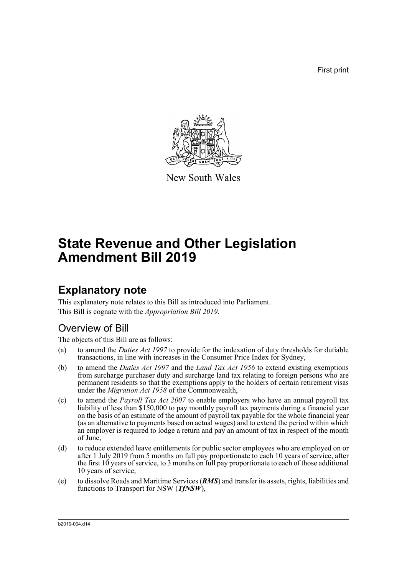First print



New South Wales

# **State Revenue and Other Legislation Amendment Bill 2019**

# **Explanatory note**

This explanatory note relates to this Bill as introduced into Parliament. This Bill is cognate with the *Appropriation Bill 2019*.

## Overview of Bill

The objects of this Bill are as follows:

- (a) to amend the *Duties Act 1997* to provide for the indexation of duty thresholds for dutiable transactions, in line with increases in the Consumer Price Index for Sydney,
- (b) to amend the *Duties Act 1997* and the *Land Tax Act 1956* to extend existing exemptions from surcharge purchaser duty and surcharge land tax relating to foreign persons who are permanent residents so that the exemptions apply to the holders of certain retirement visas under the *Migration Act 1958* of the Commonwealth,
- (c) to amend the *Payroll Tax Act 2007* to enable employers who have an annual payroll tax liability of less than \$150,000 to pay monthly payroll tax payments during a financial year on the basis of an estimate of the amount of payroll tax payable for the whole financial year (as an alternative to payments based on actual wages) and to extend the period within which an employer is required to lodge a return and pay an amount of tax in respect of the month of June,
- (d) to reduce extended leave entitlements for public sector employees who are employed on or after 1 July 2019 from 5 months on full pay proportionate to each 10 years of service, after the first 10 years of service, to 3 months on full pay proportionate to each of those additional 10 years of service,
- (e) to dissolve Roads and Maritime Services (*RMS*) and transfer its assets, rights, liabilities and functions to Transport for NSW (*TfNSW*),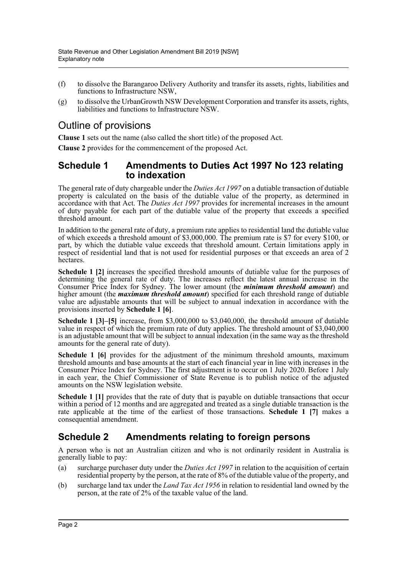- (f) to dissolve the Barangaroo Delivery Authority and transfer its assets, rights, liabilities and functions to Infrastructure NSW,
- (g) to dissolve the UrbanGrowth NSW Development Corporation and transfer its assets, rights, liabilities and functions to Infrastructure NSW.

## Outline of provisions

**Clause 1** sets out the name (also called the short title) of the proposed Act.

**Clause 2** provides for the commencement of the proposed Act.

### **Schedule 1 Amendments to Duties Act 1997 No 123 relating to indexation**

The general rate of duty chargeable under the *Duties Act 1997* on a dutiable transaction of dutiable property is calculated on the basis of the dutiable value of the property, as determined in accordance with that Act. The *Duties Act 1997* provides for incremental increases in the amount of duty payable for each part of the dutiable value of the property that exceeds a specified threshold amount.

In addition to the general rate of duty, a premium rate applies to residential land the dutiable value of which exceeds a threshold amount of \$3,000,000. The premium rate is \$7 for every \$100, or part, by which the dutiable value exceeds that threshold amount. Certain limitations apply in respect of residential land that is not used for residential purposes or that exceeds an area of 2 hectares.

**Schedule 1 [2]** increases the specified threshold amounts of dutiable value for the purposes of determining the general rate of duty. The increases reflect the latest annual increase in the Consumer Price Index for Sydney. The lower amount (the *minimum threshold amount*) and higher amount (the *maximum threshold amount*) specified for each threshold range of dutiable value are adjustable amounts that will be subject to annual indexation in accordance with the provisions inserted by **Schedule 1 [6]**.

**Schedule 1 [3]–[5]** increase, from \$3,000,000 to \$3,040,000, the threshold amount of dutiable value in respect of which the premium rate of duty applies. The threshold amount of \$3,040,000 is an adjustable amount that will be subject to annual indexation (in the same way as the threshold amounts for the general rate of duty).

**Schedule 1 [6]** provides for the adjustment of the minimum threshold amounts, maximum threshold amounts and base amounts at the start of each financial year in line with increases in the Consumer Price Index for Sydney. The first adjustment is to occur on 1 July 2020. Before 1 July in each year, the Chief Commissioner of State Revenue is to publish notice of the adjusted amounts on the NSW legislation website.

**Schedule 1 [1]** provides that the rate of duty that is payable on dutiable transactions that occur within a period of 12 months and are aggregated and treated as a single dutiable transaction is the rate applicable at the time of the earliest of those transactions. **Schedule 1 [7]** makes a consequential amendment.

## **Schedule 2 Amendments relating to foreign persons**

A person who is not an Australian citizen and who is not ordinarily resident in Australia is generally liable to pay:

- (a) surcharge purchaser duty under the *Duties Act 1997* in relation to the acquisition of certain residential property by the person, at the rate of 8% of the dutiable value of the property, and
- (b) surcharge land tax under the *Land Tax Act 1956* in relation to residential land owned by the person, at the rate of 2% of the taxable value of the land.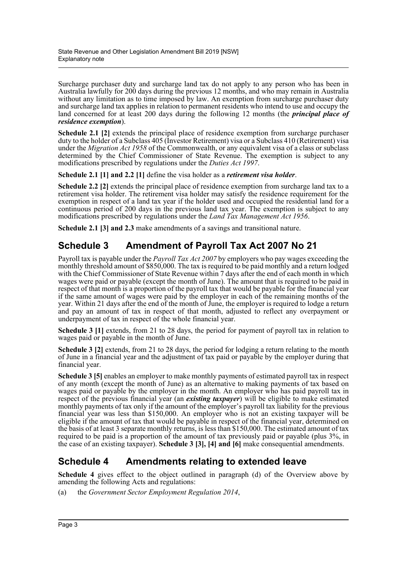Surcharge purchaser duty and surcharge land tax do not apply to any person who has been in Australia lawfully for 200 days during the previous 12 months, and who may remain in Australia without any limitation as to time imposed by law. An exemption from surcharge purchaser duty and surcharge land tax applies in relation to permanent residents who intend to use and occupy the land concerned for at least 200 days during the following 12 months (the *principal place of residence exemption*).

**Schedule 2.1 [2]** extends the principal place of residence exemption from surcharge purchaser duty to the holder of a Subclass 405 (Investor Retirement) visa or a Subclass 410 (Retirement) visa under the *Migration Act 1958* of the Commonwealth, or any equivalent visa of a class or subclass determined by the Chief Commissioner of State Revenue. The exemption is subject to any modifications prescribed by regulations under the *Duties Act 1997*.

**Schedule 2.1 [1] and 2.2 [1]** define the visa holder as a *retirement visa holder*.

**Schedule 2.2 [2]** extends the principal place of residence exemption from surcharge land tax to a retirement visa holder. The retirement visa holder may satisfy the residence requirement for the exemption in respect of a land tax year if the holder used and occupied the residential land for a continuous period of 200 days in the previous land tax year. The exemption is subject to any modifications prescribed by regulations under the *Land Tax Management Act 1956*.

**Schedule 2.1 [3] and 2.3** make amendments of a savings and transitional nature.

## **Schedule 3 Amendment of Payroll Tax Act 2007 No 21**

Payroll tax is payable under the *Payroll Tax Act 2007* by employers who pay wages exceeding the monthly threshold amount of \$850,000. The tax is required to be paid monthly and a return lodged with the Chief Commissioner of State Revenue within 7 days after the end of each month in which wages were paid or payable (except the month of June). The amount that is required to be paid in respect of that month is a proportion of the payroll tax that would be payable for the financial year if the same amount of wages were paid by the employer in each of the remaining months of the year. Within 21 days after the end of the month of June, the employer is required to lodge a return and pay an amount of tax in respect of that month, adjusted to reflect any overpayment or underpayment of tax in respect of the whole financial year.

**Schedule 3 [1]** extends, from 21 to 28 days, the period for payment of payroll tax in relation to wages paid or payable in the month of June.

**Schedule 3 [2]** extends, from 21 to 28 days, the period for lodging a return relating to the month of June in a financial year and the adjustment of tax paid or payable by the employer during that financial year.

**Schedule 3 [5]** enables an employer to make monthly payments of estimated payroll tax in respect of any month (except the month of June) as an alternative to making payments of tax based on wages paid or payable by the employer in the month. An employer who has paid payroll tax in respect of the previous financial year (an *existing taxpayer*) will be eligible to make estimated monthly payments of tax only if the amount of the employer's payroll tax liability for the previous financial year was less than \$150,000. An employer who is not an existing taxpayer will be eligible if the amount of tax that would be payable in respect of the financial year, determined on the basis of at least 3 separate monthly returns, is less than \$150,000. The estimated amount of tax required to be paid is a proportion of the amount of tax previously paid or payable (plus 3%, in the case of an existing taxpayer). **Schedule 3 [3], [4] and [6]** make consequential amendments.

## **Schedule 4 Amendments relating to extended leave**

**Schedule 4** gives effect to the object outlined in paragraph (d) of the Overview above by amending the following Acts and regulations:

(a) the *Government Sector Employment Regulation 2014*,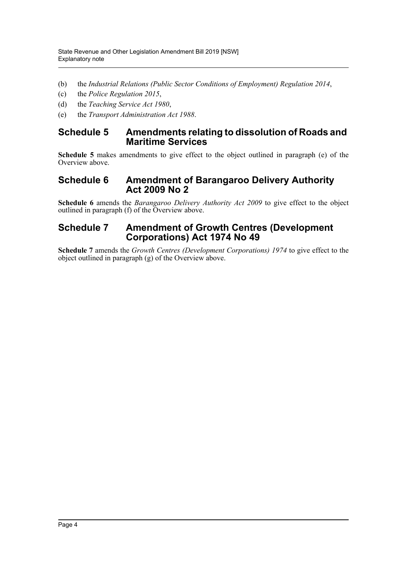- (b) the *Industrial Relations (Public Sector Conditions of Employment) Regulation 2014*,
- (c) the *Police Regulation 2015*,
- (d) the *Teaching Service Act 1980*,
- (e) the *Transport Administration Act 1988*.

## **Schedule 5 Amendments relating to dissolution of Roads and Maritime Services**

**Schedule 5** makes amendments to give effect to the object outlined in paragraph (e) of the Overview above.

### **Schedule 6 Amendment of Barangaroo Delivery Authority Act 2009 No 2**

**Schedule 6** amends the *Barangaroo Delivery Authority Act 2009* to give effect to the object outlined in paragraph (f) of the Overview above.

## **Schedule 7 Amendment of Growth Centres (Development Corporations) Act 1974 No 49**

**Schedule 7** amends the *Growth Centres (Development Corporations) 1974* to give effect to the object outlined in paragraph (g) of the Overview above.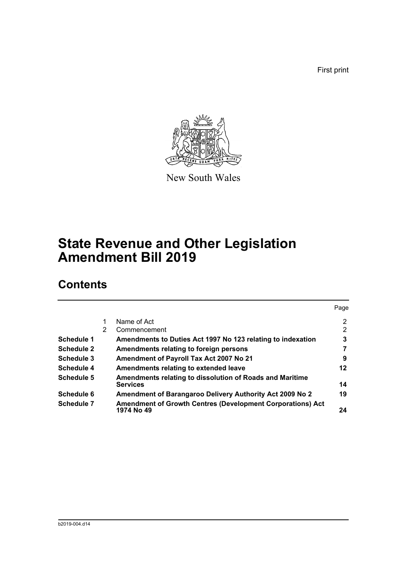First print



New South Wales

# **State Revenue and Other Legislation Amendment Bill 2019**

# **Contents**

|                   |   |                                                                                 | Page |
|-------------------|---|---------------------------------------------------------------------------------|------|
|                   |   | Name of Act                                                                     | 2    |
|                   | 2 | Commencement                                                                    | 2    |
| Schedule 1        |   | Amendments to Duties Act 1997 No 123 relating to indexation                     | 3    |
| <b>Schedule 2</b> |   | Amendments relating to foreign persons                                          | 7    |
| Schedule 3        |   | Amendment of Payroll Tax Act 2007 No 21                                         | 9    |
| Schedule 4        |   | Amendments relating to extended leave                                           | 12   |
| Schedule 5        |   | Amendments relating to dissolution of Roads and Maritime<br><b>Services</b>     | 14   |
| Schedule 6        |   | Amendment of Barangaroo Delivery Authority Act 2009 No 2                        | 19   |
| Schedule 7        |   | <b>Amendment of Growth Centres (Development Corporations) Act</b><br>1974 No 49 | 24   |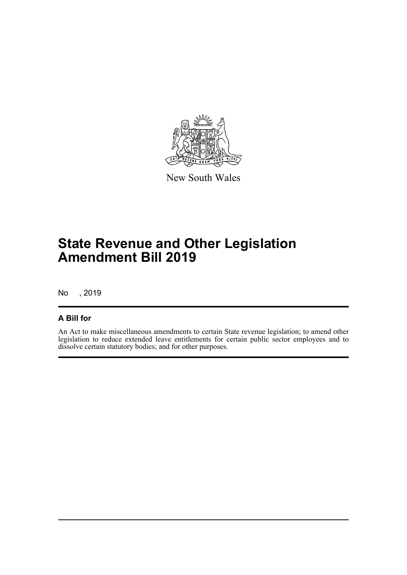

New South Wales

# **State Revenue and Other Legislation Amendment Bill 2019**

No , 2019

### **A Bill for**

An Act to make miscellaneous amendments to certain State revenue legislation; to amend other legislation to reduce extended leave entitlements for certain public sector employees and to dissolve certain statutory bodies; and for other purposes.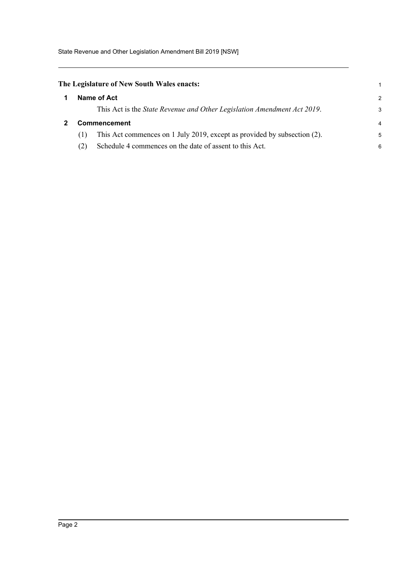State Revenue and Other Legislation Amendment Bill 2019 [NSW]

## <span id="page-6-1"></span><span id="page-6-0"></span>**The Legislature of New South Wales enacts:**

|   | he Legislature of New South Wales enacts:                                       |               |
|---|---------------------------------------------------------------------------------|---------------|
| 1 | Name of Act                                                                     | $\mathcal{P}$ |
|   | This Act is the State Revenue and Other Legislation Amendment Act 2019.         | 3             |
| 2 | <b>Commencement</b>                                                             | 4             |
|   | This Act commences on 1 July 2019, except as provided by subsection (2).<br>(1) | 5             |
|   | Schedule 4 commences on the date of assent to this Act.                         | 6             |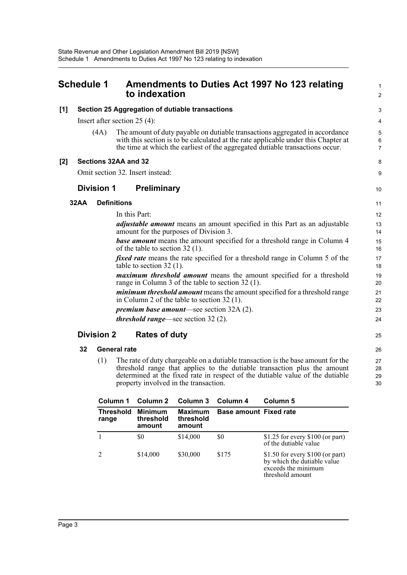<span id="page-7-0"></span>

| Schedule 1 |      |                   | Amendments to Duties Act 1997 No 123 relating<br>to indexation                                                                                                                                                                                      | $\mathbf{1}$<br>$\overline{2}$ |
|------------|------|-------------------|-----------------------------------------------------------------------------------------------------------------------------------------------------------------------------------------------------------------------------------------------------|--------------------------------|
| [1]        |      |                   | Section 25 Aggregation of dutiable transactions                                                                                                                                                                                                     | 3                              |
|            |      |                   | Insert after section $25(4)$ :                                                                                                                                                                                                                      | 4                              |
|            |      | (4A)              | The amount of duty payable on dutiable transactions aggregated in accordance<br>with this section is to be calculated at the rate applicable under this Chapter at<br>the time at which the earliest of the aggregated dutiable transactions occur. | 5<br>6<br>$\overline{7}$       |
| [2]        |      |                   | Sections 32AA and 32                                                                                                                                                                                                                                | 8                              |
|            |      |                   | Omit section 32. Insert instead:                                                                                                                                                                                                                    | 9                              |
|            |      | <b>Division 1</b> | <b>Preliminary</b>                                                                                                                                                                                                                                  | 10                             |
|            | 32AA |                   | <b>Definitions</b>                                                                                                                                                                                                                                  | 11                             |
|            |      |                   | In this Part:                                                                                                                                                                                                                                       | 12                             |
|            |      |                   | <i>adjustable amount</i> means an amount specified in this Part as an adjustable<br>amount for the purposes of Division 3.                                                                                                                          | 13<br>14                       |
|            |      |                   | <b>base amount</b> means the amount specified for a threshold range in Column 4<br>of the table to section 32 (1).                                                                                                                                  | 15<br>16                       |
|            |      |                   | <i>fixed rate</i> means the rate specified for a threshold range in Column 5 of the<br>table to section $32(1)$ .                                                                                                                                   | 17<br>18                       |
|            |      |                   | maximum threshold amount means the amount specified for a threshold<br>range in Column 3 of the table to section 32 (1).                                                                                                                            | 19<br>20                       |
|            |      |                   | <i>minimum threshold amount</i> means the amount specified for a threshold range<br>in Column 2 of the table to section $32(1)$ .                                                                                                                   | 21<br>22                       |
|            |      |                   | <i>premium base amount</i> —see section 32A (2).                                                                                                                                                                                                    | 23                             |
|            |      |                   | <i>threshold range</i> —see section $32(2)$ .                                                                                                                                                                                                       | 24                             |
|            |      | <b>Division 2</b> | <b>Rates of duty</b>                                                                                                                                                                                                                                | 25                             |
|            | 32   |                   | <b>General rate</b>                                                                                                                                                                                                                                 | 26                             |
|            |      | (1)               | The rate of duty chargeable on a dutiable transaction is the base amount for the                                                                                                                                                                    | 27                             |

(1) The rate of duty chargeable on a dutiable transaction is the base amount for the threshold range that applies to the dutiable transaction plus the amount determined at the fixed rate in respect of the dutiable value of the dutiable property involved in the transaction.

28 29 30

| Column 1                  | Column 2                              | Column 3                              | Column 4                      | Column 5                                                                                                    |
|---------------------------|---------------------------------------|---------------------------------------|-------------------------------|-------------------------------------------------------------------------------------------------------------|
| <b>Threshold</b><br>range | <b>Minimum</b><br>threshold<br>amount | <b>Maximum</b><br>threshold<br>amount | <b>Base amount Fixed rate</b> |                                                                                                             |
|                           | \$0                                   | \$14,000                              | \$0                           | \$1.25 for every $$100$ (or part)<br>of the dutiable value                                                  |
|                           | \$14,000                              | \$30,000                              | \$175                         | \$1.50 for every $$100$ (or part)<br>by which the dutiable value<br>exceeds the minimum<br>threshold amount |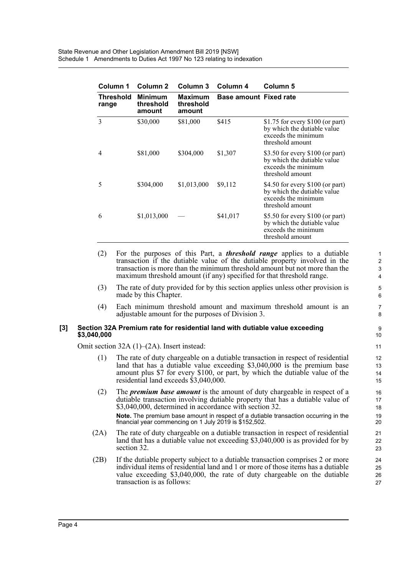| Column 1           | Column 2                              | Column 3                              | Column 4                      | Column 5                                                                                                    |
|--------------------|---------------------------------------|---------------------------------------|-------------------------------|-------------------------------------------------------------------------------------------------------------|
| Threshold<br>range | <b>Minimum</b><br>threshold<br>amount | <b>Maximum</b><br>threshold<br>amount | <b>Base amount Fixed rate</b> |                                                                                                             |
| 3                  | \$30,000                              | \$81,000                              | \$415                         | \$1.75 for every $$100$ (or part)<br>by which the dutiable value<br>exceeds the minimum<br>threshold amount |
| 4                  | \$81,000                              | \$304,000                             | \$1,307                       | \$3.50 for every \$100 (or part)<br>by which the dutiable value<br>exceeds the minimum<br>threshold amount  |
| 5                  | \$304,000                             | \$1,013,000                           | \$9,112                       | \$4.50 for every \$100 (or part)<br>by which the dutiable value<br>exceeds the minimum<br>threshold amount  |
| 6                  | \$1,013,000                           |                                       | \$41,017                      | \$5.50 for every \$100 (or part)<br>by which the dutiable value<br>exceeds the minimum<br>threshold amount  |

- (2) For the purposes of this Part, a *threshold range* applies to a dutiable transaction if the dutiable value of the dutiable property involved in the transaction is more than the minimum threshold amount but not more than the maximum threshold amount (if any) specified for that threshold range.
- (3) The rate of duty provided for by this section applies unless other provision is made by this Chapter.
- (4) Each minimum threshold amount and maximum threshold amount is an adjustable amount for the purposes of Division 3.

#### **[3] Section 32A Premium rate for residential land with dutiable value exceeding \$3,040,000**

Omit section 32A (1)–(2A). Insert instead:

- (1) The rate of duty chargeable on a dutiable transaction in respect of residential land that has a dutiable value exceeding \$3,040,000 is the premium base amount plus \$7 for every \$100, or part, by which the dutiable value of the residential land exceeds \$3,040,000.
- (2) The *premium base amount* is the amount of duty chargeable in respect of a dutiable transaction involving dutiable property that has a dutiable value of \$3,040,000, determined in accordance with section 32. **Note.** The premium base amount in respect of a dutiable transaction occurring in the

financial year commencing on 1 July 2019 is \$152,502.

- (2A) The rate of duty chargeable on a dutiable transaction in respect of residential land that has a dutiable value not exceeding \$3,040,000 is as provided for by section 32.
- (2B) If the dutiable property subject to a dutiable transaction comprises 2 or more individual items of residential land and 1 or more of those items has a dutiable value exceeding \$3,040,000, the rate of duty chargeable on the dutiable transaction is as follows:

1  $\mathfrak{p}$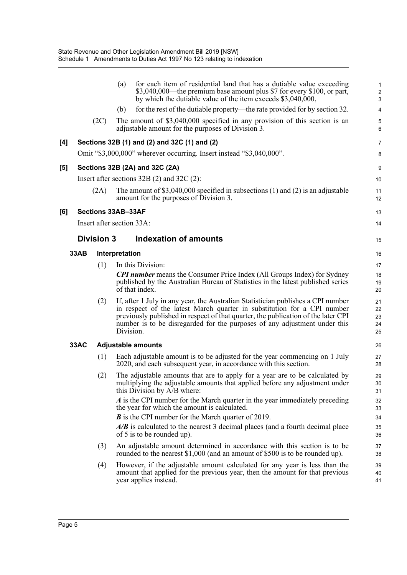|                     |             |                   | for each item of residential land that has a dutiable value exceeding<br>(a)<br>\$3,040,000—the premium base amount plus \$7 for every \$100, or part,<br>by which the dutiable value of the item exceeds \$3,040,000,                                                                                                                     | $\mathbf{1}$<br>$\sqrt{2}$<br>3 |
|---------------------|-------------|-------------------|--------------------------------------------------------------------------------------------------------------------------------------------------------------------------------------------------------------------------------------------------------------------------------------------------------------------------------------------|---------------------------------|
|                     |             |                   | for the rest of the dutiable property—the rate provided for by section 32.<br>(b)                                                                                                                                                                                                                                                          | 4                               |
|                     |             | (2C)              | The amount of \$3,040,000 specified in any provision of this section is an<br>adjustable amount for the purposes of Division 3.                                                                                                                                                                                                            | 5<br>6                          |
| [4]                 |             |                   | Sections 32B (1) and (2) and 32C (1) and (2)                                                                                                                                                                                                                                                                                               | 7                               |
|                     |             |                   | Omit "\$3,000,000" wherever occurring. Insert instead "\$3,040,000".                                                                                                                                                                                                                                                                       | 8                               |
| $\lbrack 5 \rbrack$ |             |                   | Sections 32B (2A) and 32C (2A)                                                                                                                                                                                                                                                                                                             | $\boldsymbol{9}$                |
|                     |             |                   | Insert after sections $32B(2)$ and $32C(2)$ :                                                                                                                                                                                                                                                                                              | 10                              |
|                     |             | (2A)              | The amount of $$3,040,000$ specified in subsections (1) and (2) is an adjustable<br>amount for the purposes of Division 3.                                                                                                                                                                                                                 | 11<br>12                        |
| [6]                 |             |                   | <b>Sections 33AB-33AF</b>                                                                                                                                                                                                                                                                                                                  | 13                              |
|                     |             |                   | Insert after section 33A:                                                                                                                                                                                                                                                                                                                  | 14                              |
|                     |             | <b>Division 3</b> | <b>Indexation of amounts</b>                                                                                                                                                                                                                                                                                                               | 15                              |
|                     | <b>33AB</b> |                   | Interpretation                                                                                                                                                                                                                                                                                                                             | 16                              |
|                     |             | (1)               | In this Division:                                                                                                                                                                                                                                                                                                                          | 17                              |
|                     |             |                   | <b>CPI number</b> means the Consumer Price Index (All Groups Index) for Sydney<br>published by the Australian Bureau of Statistics in the latest published series<br>of that index.                                                                                                                                                        | 18<br>19<br>20                  |
|                     |             | (2)               | If, after 1 July in any year, the Australian Statistician publishes a CPI number<br>in respect of the latest March quarter in substitution for a CPI number<br>previously published in respect of that quarter, the publication of the later CPI<br>number is to be disregarded for the purposes of any adjustment under this<br>Division. | 21<br>22<br>23<br>24<br>25      |
|                     | 33AC        |                   | <b>Adjustable amounts</b>                                                                                                                                                                                                                                                                                                                  | 26                              |
|                     |             | (1)               | Each adjustable amount is to be adjusted for the year commencing on 1 July<br>2020, and each subsequent year, in accordance with this section.                                                                                                                                                                                             | 27<br>28                        |
|                     |             | (2)               | The adjustable amounts that are to apply for a year are to be calculated by<br>multiplying the adjustable amounts that applied before any adjustment under<br>this Division by A/B where:                                                                                                                                                  | 29<br>30<br>31                  |
|                     |             |                   | A is the CPI number for the March quarter in the year immediately preceding<br>the year for which the amount is calculated.                                                                                                                                                                                                                | 32<br>33                        |
|                     |             |                   | <b>B</b> is the CPI number for the March quarter of 2019.<br>$A/B$ is calculated to the nearest 3 decimal places (and a fourth decimal place<br>of 5 is to be rounded up).                                                                                                                                                                 | 34<br>35<br>36                  |
|                     |             | (3)               | An adjustable amount determined in accordance with this section is to be<br>rounded to the nearest \$1,000 (and an amount of \$500 is to be rounded up).                                                                                                                                                                                   | 37<br>38                        |
|                     |             | (4)               | However, if the adjustable amount calculated for any year is less than the<br>amount that applied for the previous year, then the amount for that previous                                                                                                                                                                                 | 39<br>40                        |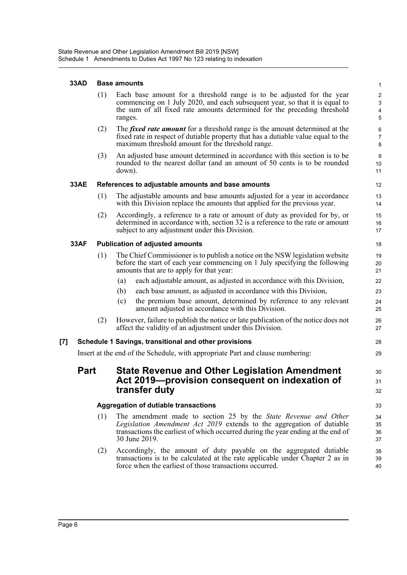## **33AD Base amounts**

| 33AD        |     | <b>Base amounts</b>                                                                                                                                                                                                                           | $\mathbf{1}$                         |
|-------------|-----|-----------------------------------------------------------------------------------------------------------------------------------------------------------------------------------------------------------------------------------------------|--------------------------------------|
|             | (1) | Each base amount for a threshold range is to be adjusted for the year<br>commencing on 1 July 2020, and each subsequent year, so that it is equal to<br>the sum of all fixed rate amounts determined for the preceding threshold<br>ranges.   | $\sqrt{2}$<br>$\mathbf{3}$<br>4<br>5 |
|             | (2) | The <i>fixed rate amount</i> for a threshold range is the amount determined at the<br>fixed rate in respect of dutiable property that has a dutiable value equal to the<br>maximum threshold amount for the threshold range.                  | 6<br>$\overline{7}$<br>8             |
|             | (3) | An adjusted base amount determined in accordance with this section is to be<br>rounded to the nearest dollar (and an amount of 50 cents is to be rounded<br>down).                                                                            | 9<br>10<br>11                        |
| <b>33AE</b> |     | References to adjustable amounts and base amounts                                                                                                                                                                                             | 12                                   |
|             | (1) | The adjustable amounts and base amounts adjusted for a year in accordance<br>with this Division replace the amounts that applied for the previous year.                                                                                       | 13<br>14                             |
|             | (2) | Accordingly, a reference to a rate or amount of duty as provided for by, or<br>determined in accordance with, section 32 is a reference to the rate or amount<br>subject to any adjustment under this Division.                               | 15<br>16<br>17                       |
| <b>33AF</b> |     | <b>Publication of adjusted amounts</b>                                                                                                                                                                                                        | 18                                   |
|             | (1) | The Chief Commissioner is to publish a notice on the NSW legislation website<br>before the start of each year commencing on 1 July specifying the following<br>amounts that are to apply for that year:                                       | 19<br>20<br>21                       |
|             |     | each adjustable amount, as adjusted in accordance with this Division,<br>(a)                                                                                                                                                                  | 22                                   |
|             |     | each base amount, as adjusted in accordance with this Division,<br>(b)                                                                                                                                                                        | 23                                   |
|             |     | the premium base amount, determined by reference to any relevant<br>(c)<br>amount adjusted in accordance with this Division.                                                                                                                  | 24<br>25                             |
|             | (2) | However, failure to publish the notice or late publication of the notice does not<br>affect the validity of an adjustment under this Division.                                                                                                | 26<br>27                             |
| $[7]$       |     | Schedule 1 Savings, transitional and other provisions                                                                                                                                                                                         | 28                                   |
|             |     | Insert at the end of the Schedule, with appropriate Part and clause numbering:                                                                                                                                                                | 29                                   |
| <b>Part</b> |     | <b>State Revenue and Other Legislation Amendment</b><br>Act 2019-provision consequent on indexation of                                                                                                                                        | 30<br>31                             |
|             |     | transfer duty                                                                                                                                                                                                                                 | 32                                   |
|             |     | <b>Aggregation of dutiable transactions</b>                                                                                                                                                                                                   | 33                                   |
|             | (1) | The amendment made to section 25 by the State Revenue and Other<br>Legislation Amendment Act 2019 extends to the aggregation of dutiable<br>transactions the earliest of which occurred during the year ending at the end of<br>30 June 2019. | 34<br>35<br>36<br>37                 |
|             | (2) | Accordingly, the amount of duty payable on the aggregated dutiable<br>transactions is to be calculated at the rate applicable under Chapter 2 as in                                                                                           | 38<br>39                             |

40

force when the earliest of those transactions occurred.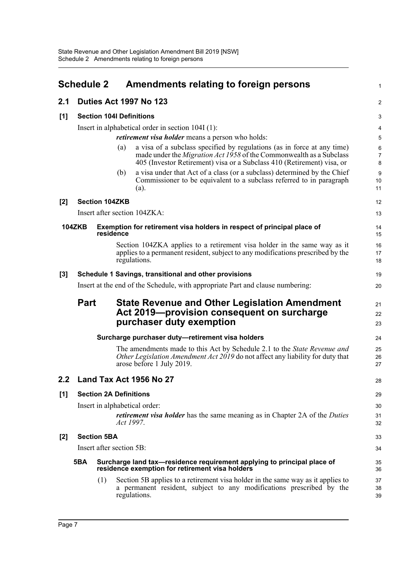<span id="page-11-0"></span>

|     | <b>Schedule 2</b>               |                               |           | Amendments relating to foreign persons                                                                                                                                                                                          | 1                        |  |
|-----|---------------------------------|-------------------------------|-----------|---------------------------------------------------------------------------------------------------------------------------------------------------------------------------------------------------------------------------------|--------------------------|--|
| 2.1 |                                 |                               |           | <b>Duties Act 1997 No 123</b>                                                                                                                                                                                                   | 2                        |  |
| [1] | <b>Section 104I Definitions</b> |                               |           |                                                                                                                                                                                                                                 |                          |  |
|     |                                 |                               |           | Insert in alphabetical order in section 104I (1):                                                                                                                                                                               | 4                        |  |
|     |                                 |                               |           | <i>retirement visa holder</i> means a person who holds:                                                                                                                                                                         | 5                        |  |
|     |                                 |                               | (a)       | a visa of a subclass specified by regulations (as in force at any time)<br>made under the <i>Migration Act 1958</i> of the Commonwealth as a Subclass<br>405 (Investor Retirement) visa or a Subclass 410 (Retirement) visa, or | 6<br>$\overline{7}$<br>8 |  |
|     |                                 |                               | (b)       | a visa under that Act of a class (or a subclass) determined by the Chief<br>Commissioner to be equivalent to a subclass referred to in paragraph<br>(a).                                                                        | 9<br>10<br>11            |  |
| [2] |                                 | <b>Section 104ZKB</b>         |           |                                                                                                                                                                                                                                 | 12                       |  |
|     |                                 |                               |           | Insert after section 104ZKA:                                                                                                                                                                                                    | 13                       |  |
|     | <b>104ZKB</b>                   | residence                     |           | Exemption for retirement visa holders in respect of principal place of                                                                                                                                                          | 14<br>15                 |  |
|     |                                 |                               |           | Section 104ZKA applies to a retirement visa holder in the same way as it<br>applies to a permanent resident, subject to any modifications prescribed by the<br>regulations.                                                     | 16<br>17<br>18           |  |
| [3] |                                 |                               |           | Schedule 1 Savings, transitional and other provisions                                                                                                                                                                           | 19                       |  |
|     |                                 |                               |           | Insert at the end of the Schedule, with appropriate Part and clause numbering:                                                                                                                                                  | 20                       |  |
|     | <b>Part</b>                     |                               |           | <b>State Revenue and Other Legislation Amendment</b><br>Act 2019-provision consequent on surcharge<br>purchaser duty exemption                                                                                                  | 21<br>22<br>23           |  |
|     |                                 |                               |           | Surcharge purchaser duty-retirement visa holders                                                                                                                                                                                | 24                       |  |
|     |                                 |                               |           | The amendments made to this Act by Schedule 2.1 to the State Revenue and<br>Other Legislation Amendment Act 2019 do not affect any liability for duty that<br>arose before 1 July 2019.                                         | 25<br>26<br>27           |  |
| 2.2 |                                 |                               |           | Land Tax Act 1956 No 27                                                                                                                                                                                                         | 28                       |  |
| [1] |                                 | <b>Section 2A Definitions</b> |           |                                                                                                                                                                                                                                 | 29                       |  |
|     |                                 |                               |           | Insert in alphabetical order:                                                                                                                                                                                                   | 30                       |  |
|     |                                 |                               | Act 1997. | <i>retirement visa holder</i> has the same meaning as in Chapter 2A of the <i>Duties</i>                                                                                                                                        | 31<br>32                 |  |
| [2] |                                 | <b>Section 5BA</b>            |           |                                                                                                                                                                                                                                 | 33                       |  |
|     |                                 | Insert after section 5B:      |           |                                                                                                                                                                                                                                 | 34                       |  |
|     | 5BA                             |                               |           | Surcharge land tax—residence requirement applying to principal place of<br>residence exemption for retirement visa holders                                                                                                      | 35<br>36                 |  |
|     |                                 | (1)                           |           | Section 5B applies to a retirement visa holder in the same way as it applies to<br>a permanent resident, subject to any modifications prescribed by the<br>regulations.                                                         | 37<br>38<br>39           |  |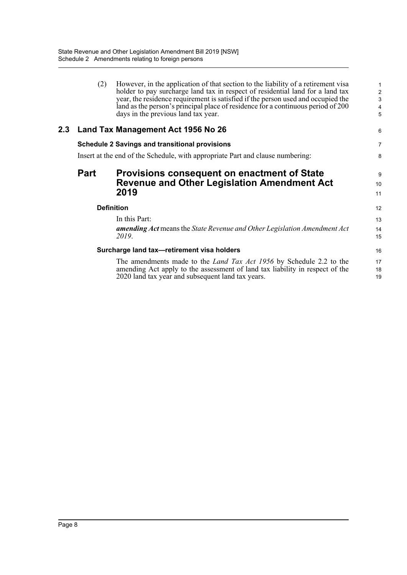|     | (2)               | However, in the application of that section to the liability of a retirement visa<br>holder to pay surcharge land tax in respect of residential land for a land tax<br>year, the residence requirement is satisfied if the person used and occupied the<br>land as the person's principal place of residence for a continuous period of 200<br>days in the previous land tax year. | $\mathbf{1}$<br>$\sqrt{2}$<br>3<br>4<br>5 |
|-----|-------------------|------------------------------------------------------------------------------------------------------------------------------------------------------------------------------------------------------------------------------------------------------------------------------------------------------------------------------------------------------------------------------------|-------------------------------------------|
| 2.3 |                   | Land Tax Management Act 1956 No 26                                                                                                                                                                                                                                                                                                                                                 | 6                                         |
|     |                   | <b>Schedule 2 Savings and transitional provisions</b>                                                                                                                                                                                                                                                                                                                              | $\overline{7}$                            |
|     |                   | Insert at the end of the Schedule, with appropriate Part and clause numbering:                                                                                                                                                                                                                                                                                                     | 8                                         |
|     | Part              | <b>Provisions consequent on enactment of State</b><br><b>Revenue and Other Legislation Amendment Act</b><br>2019                                                                                                                                                                                                                                                                   | 9<br>10<br>11                             |
|     | <b>Definition</b> |                                                                                                                                                                                                                                                                                                                                                                                    | 12                                        |
|     |                   | In this Part:<br><b>amending Act</b> means the State Revenue and Other Legislation Amendment Act<br>2019.                                                                                                                                                                                                                                                                          | 13<br>14<br>15                            |
|     |                   | Surcharge land tax-retirement visa holders                                                                                                                                                                                                                                                                                                                                         | 16                                        |
|     |                   | The amendments made to the <i>Land Tax Act 1956</i> by Schedule 2.2 to the<br>amending Act apply to the assessment of land tax liability in respect of the<br>2020 land tax year and subsequent land tax years.                                                                                                                                                                    | 17<br>18<br>19                            |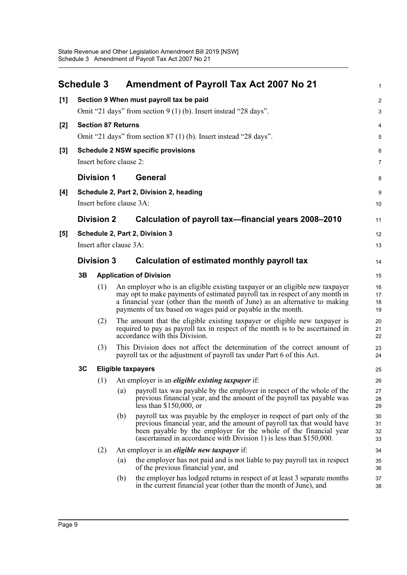<span id="page-13-0"></span>

|       | <b>Schedule 3</b> |                   |                           | <b>Amendment of Payroll Tax Act 2007 No 21</b>                                                                                                                                                                                                                                                              | $\mathbf{1}$         |
|-------|-------------------|-------------------|---------------------------|-------------------------------------------------------------------------------------------------------------------------------------------------------------------------------------------------------------------------------------------------------------------------------------------------------------|----------------------|
| [1]   |                   |                   |                           | Section 9 When must payroll tax be paid                                                                                                                                                                                                                                                                     | $\overline{c}$       |
|       |                   |                   |                           | Omit "21 days" from section $9(1)$ (b). Insert instead "28 days".                                                                                                                                                                                                                                           | 3                    |
| [2]   |                   |                   | <b>Section 87 Returns</b> |                                                                                                                                                                                                                                                                                                             | $\overline{4}$       |
|       |                   |                   |                           | Omit "21 days" from section 87 (1) (b). Insert instead "28 days".                                                                                                                                                                                                                                           | 5                    |
| $[3]$ |                   |                   |                           | <b>Schedule 2 NSW specific provisions</b>                                                                                                                                                                                                                                                                   | 6                    |
|       |                   |                   | Insert before clause 2:   |                                                                                                                                                                                                                                                                                                             | $\overline{7}$       |
|       |                   | <b>Division 1</b> |                           | <b>General</b>                                                                                                                                                                                                                                                                                              | 8                    |
| [4]   |                   |                   |                           | Schedule 2, Part 2, Division 2, heading                                                                                                                                                                                                                                                                     | 9                    |
|       |                   |                   | Insert before clause 3A:  |                                                                                                                                                                                                                                                                                                             | 10                   |
|       |                   | <b>Division 2</b> |                           | Calculation of payroll tax-financial years 2008-2010                                                                                                                                                                                                                                                        | 11                   |
| [5]   |                   |                   |                           | Schedule 2, Part 2, Division 3                                                                                                                                                                                                                                                                              | 12                   |
|       |                   |                   | Insert after clause 3A:   |                                                                                                                                                                                                                                                                                                             | 13                   |
|       |                   | <b>Division 3</b> |                           | Calculation of estimated monthly payroll tax                                                                                                                                                                                                                                                                | 14                   |
|       | 3B                |                   |                           | <b>Application of Division</b>                                                                                                                                                                                                                                                                              | 15                   |
|       |                   | (1)               |                           | An employer who is an eligible existing taxpayer or an eligible new taxpayer<br>may opt to make payments of estimated payroll tax in respect of any month in<br>a financial year (other than the month of June) as an alternative to making<br>payments of tax based on wages paid or payable in the month. | 16<br>17<br>18<br>19 |
|       |                   | (2)               |                           | The amount that the eligible existing taxpayer or eligible new taxpayer is<br>required to pay as payroll tax in respect of the month is to be ascertained in<br>accordance with this Division.                                                                                                              | 20<br>21<br>22       |
|       |                   | (3)               |                           | This Division does not affect the determination of the correct amount of<br>payroll tax or the adjustment of payroll tax under Part 6 of this Act.                                                                                                                                                          | 23<br>24             |
|       | 3C                |                   | <b>Eligible taxpayers</b> |                                                                                                                                                                                                                                                                                                             | 25                   |
|       |                   | (1)               |                           | An employer is an <i>eligible existing taxpayer</i> if:                                                                                                                                                                                                                                                     | 26                   |
|       |                   |                   | $\left( a\right)$         | payroll tax was payable by the employer in respect of the whole of the<br>previous financial year, and the amount of the payroll tax payable was<br>less than $$150,000$ , or                                                                                                                               | 27<br>28<br>29       |
|       |                   |                   | (b)                       | payroll tax was payable by the employer in respect of part only of the<br>previous financial year, and the amount of payroll tax that would have<br>been payable by the employer for the whole of the financial year<br>(ascertained in accordance with Division 1) is less than $$150,000$ .               | 30<br>31<br>32<br>33 |
|       |                   | (2)               |                           | An employer is an <i>eligible new taxpayer</i> if:                                                                                                                                                                                                                                                          | 34                   |
|       |                   |                   | (a)                       | the employer has not paid and is not liable to pay payroll tax in respect<br>of the previous financial year, and                                                                                                                                                                                            | 35<br>36             |
|       |                   |                   | (b)                       | the employer has lodged returns in respect of at least 3 separate months<br>in the current financial year (other than the month of June), and                                                                                                                                                               | 37<br>38             |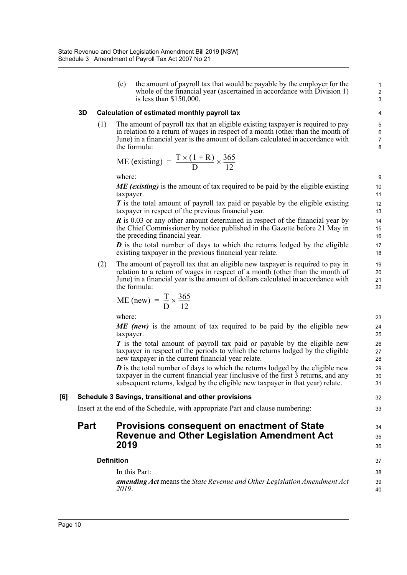(c) the amount of payroll tax that would be payable by the employer for the whole of the financial year (ascertained in accordance with Division 1) is less than \$150,000.

34 35 36

#### **3D Calculation of estimated monthly payroll tax**

(1) The amount of payroll tax that an eligible existing taxpayer is required to pay in relation to a return of wages in respect of a month (other than the month of June) in a financial year is the amount of dollars calculated in accordance with the formula:

$$
ME (existing) = \frac{T \times (1 + R)}{D} \times \frac{365}{12}
$$

where:

*ME (existing)* is the amount of tax required to be paid by the eligible existing taxpayer.

*T* is the total amount of payroll tax paid or payable by the eligible existing taxpayer in respect of the previous financial year.

*R* is 0.03 or any other amount determined in respect of the financial year by the Chief Commissioner by notice published in the Gazette before 21 May in the preceding financial year.

*D* is the total number of days to which the returns lodged by the eligible existing taxpayer in the previous financial year relate.

(2) The amount of payroll tax that an eligible new taxpayer is required to pay in relation to a return of wages in respect of a month (other than the month of June) in a financial year is the amount of dollars calculated in accordance with the formula:

$$
ME (new) = \frac{T}{D} \times \frac{365}{12}
$$

where:

*ME (new)* is the amount of tax required to be paid by the eligible new taxpayer.

*T* is the total amount of payroll tax paid or payable by the eligible new taxpayer in respect of the periods to which the returns lodged by the eligible new taxpayer in the current financial year relate.

*D* is the total number of days to which the returns lodged by the eligible new taxpayer in the current financial year (inclusive of the first 3 returns, and any subsequent returns, lodged by the eligible new taxpayer in that year) relate.

#### **[6] Schedule 3 Savings, transitional and other provisions**

Insert at the end of the Schedule, with appropriate Part and clause numbering:

## **Part Provisions consequent on enactment of State Revenue and Other Legislation Amendment Act 2019**

#### **Definition** In this Part: *amending Act* means the *State Revenue and Other Legislation Amendment Act 2019*.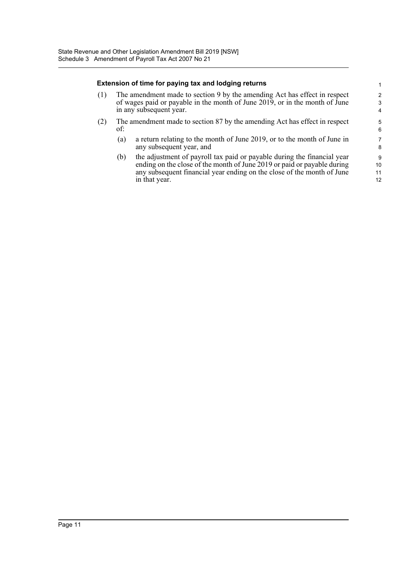#### **Extension of time for paying tax and lodging returns**

- (1) The amendment made to section 9 by the amending Act has effect in respect of wages paid or payable in the month of June 2019, or in the month of June in any subsequent year.
- (2) The amendment made to section 87 by the amending Act has effect in respect of:
	- (a) a return relating to the month of June 2019, or to the month of June in any subsequent year, and
	- (b) the adjustment of payroll tax paid or payable during the financial year ending on the close of the month of June 2019 or paid or payable during any subsequent financial year ending on the close of the month of June in that year.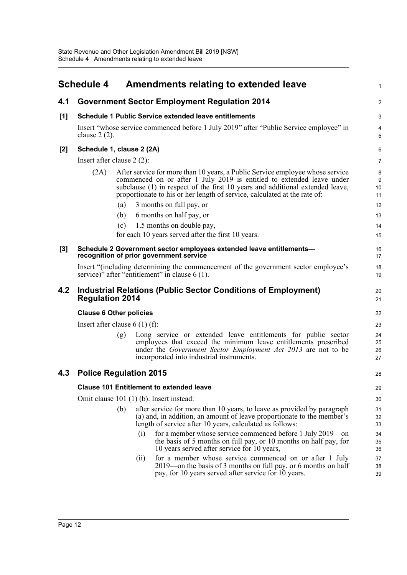<span id="page-16-0"></span>

|       | <b>Schedule 4</b>                               | Amendments relating to extended leave                                                                                                                                                                                                                                                                                                                                                                        | $\mathbf{1}$                     |  |  |
|-------|-------------------------------------------------|--------------------------------------------------------------------------------------------------------------------------------------------------------------------------------------------------------------------------------------------------------------------------------------------------------------------------------------------------------------------------------------------------------------|----------------------------------|--|--|
| 4.1   |                                                 | <b>Government Sector Employment Regulation 2014</b>                                                                                                                                                                                                                                                                                                                                                          | 2                                |  |  |
| [1]   |                                                 | <b>Schedule 1 Public Service extended leave entitlements</b>                                                                                                                                                                                                                                                                                                                                                 | $\ensuremath{\mathsf{3}}$        |  |  |
|       | clause $2(2)$ .                                 | Insert "whose service commenced before 1 July 2019" after "Public Service employee" in                                                                                                                                                                                                                                                                                                                       | 4<br>5                           |  |  |
| $[2]$ |                                                 | Schedule 1, clause 2 (2A)                                                                                                                                                                                                                                                                                                                                                                                    | 6                                |  |  |
|       | Insert after clause $2(2)$ :                    |                                                                                                                                                                                                                                                                                                                                                                                                              | 7                                |  |  |
|       | (2A)                                            | After service for more than 10 years, a Public Service employee whose service<br>commenced on or after 1 July 2019 is entitled to extended leave under<br>subclause (1) in respect of the first 10 years and additional extended leave,<br>proportionate to his or her length of service, calculated at the rate of:                                                                                         | 8<br>9<br>10<br>11               |  |  |
|       |                                                 | 3 months on full pay, or<br>(a)                                                                                                                                                                                                                                                                                                                                                                              | 12                               |  |  |
|       |                                                 | 6 months on half pay, or<br>(b)                                                                                                                                                                                                                                                                                                                                                                              | 13                               |  |  |
|       |                                                 | 1.5 months on double pay,<br>(c)                                                                                                                                                                                                                                                                                                                                                                             | 14                               |  |  |
|       |                                                 | for each 10 years served after the first 10 years.                                                                                                                                                                                                                                                                                                                                                           | 15                               |  |  |
| [3]   |                                                 | Schedule 2 Government sector employees extended leave entitlements-<br>recognition of prior government service                                                                                                                                                                                                                                                                                               | 16<br>17                         |  |  |
|       |                                                 | Insert "(including determining the commencement of the government sector employee's<br>service)" after "entitlement" in clause 6 (1).                                                                                                                                                                                                                                                                        | 18<br>19                         |  |  |
| 4.2   | <b>Regulation 2014</b>                          | <b>Industrial Relations (Public Sector Conditions of Employment)</b>                                                                                                                                                                                                                                                                                                                                         | 20<br>21                         |  |  |
|       |                                                 | <b>Clause 6 Other policies</b>                                                                                                                                                                                                                                                                                                                                                                               | 22                               |  |  |
|       |                                                 | Insert after clause $6(1)(f)$ :                                                                                                                                                                                                                                                                                                                                                                              | 23                               |  |  |
|       |                                                 | Long service or extended leave entitlements for public sector<br>(g)<br>employees that exceed the minimum leave entitlements prescribed<br>under the Government Sector Employment Act 2013 are not to be<br>incorporated into industrial instruments.                                                                                                                                                        | 24<br>25<br>26<br>27             |  |  |
| 4.3   |                                                 | <b>Police Regulation 2015</b>                                                                                                                                                                                                                                                                                                                                                                                | 28                               |  |  |
|       | <b>Clause 101 Entitlement to extended leave</b> |                                                                                                                                                                                                                                                                                                                                                                                                              |                                  |  |  |
|       |                                                 | Omit clause 101 (1) (b). Insert instead:                                                                                                                                                                                                                                                                                                                                                                     | 30                               |  |  |
|       |                                                 | after service for more than 10 years, to leave as provided by paragraph<br>(b)<br>(a) and, in addition, an amount of leave proportionate to the member's<br>length of service after 10 years, calculated as follows:<br>for a member whose service commenced before 1 July 2019—on<br>(i)<br>the basis of 5 months on full pay, or 10 months on half pay, for<br>10 years served after service for 10 years, | 31<br>32<br>33<br>34<br>35<br>36 |  |  |
|       |                                                 | for a member whose service commenced on or after 1 July<br>(ii)<br>2019 – on the basis of 3 months on full pay, or 6 months on half<br>pay, for 10 years served after service for 10 years.                                                                                                                                                                                                                  | 37<br>38<br>39                   |  |  |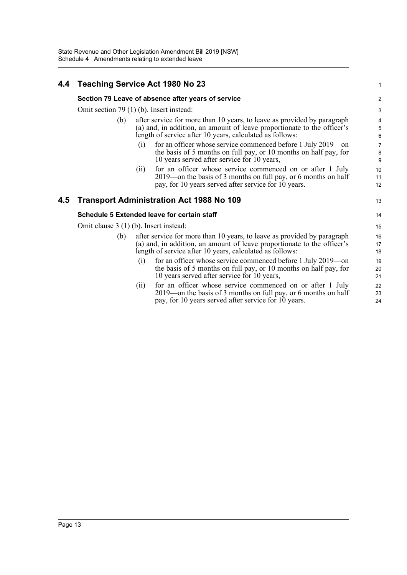## **4.4 Teaching Service Act 1980 No 23**

#### **Section 79 Leave of absence after years of service**

Omit section 79 (1) (b). Insert instead:

- (b) after service for more than 10 years, to leave as provided by paragraph (a) and, in addition, an amount of leave proportionate to the officer's length of service after 10 years, calculated as follows:
	- (i) for an officer whose service commenced before 1 July 2019—on the basis of 5 months on full pay, or 10 months on half pay, for 10 years served after service for 10 years,

1

13

(ii) for an officer whose service commenced on or after 1 July 2019—on the basis of 3 months on full pay, or 6 months on half pay, for 10 years served after service for 10 years.

#### **4.5 Transport Administration Act 1988 No 109**

#### **Schedule 5 Extended leave for certain staff**

Omit clause 3 (1) (b). Insert instead:

- (b) after service for more than 10 years, to leave as provided by paragraph (a) and, in addition, an amount of leave proportionate to the officer's length of service after 10 years, calculated as follows:
	- (i) for an officer whose service commenced before 1 July 2019—on the basis of 5 months on full pay, or 10 months on half pay, for 10 years served after service for 10 years,
	- (ii) for an officer whose service commenced on or after 1 July 2019—on the basis of 3 months on full pay, or 6 months on half pay, for 10 years served after service for 10 years.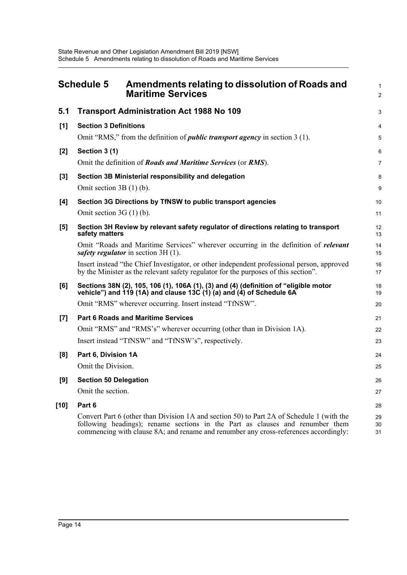<span id="page-18-0"></span>

|       | <b>Schedule 5</b><br>Amendments relating to dissolution of Roads and<br><b>Maritime Services</b>                                                                                                                                                                   | $\mathbf{1}$<br>2 |
|-------|--------------------------------------------------------------------------------------------------------------------------------------------------------------------------------------------------------------------------------------------------------------------|-------------------|
| 5.1   | <b>Transport Administration Act 1988 No 109</b>                                                                                                                                                                                                                    | 3                 |
| [1]   | <b>Section 3 Definitions</b>                                                                                                                                                                                                                                       | 4                 |
|       | Omit "RMS," from the definition of <i>public transport agency</i> in section 3 (1).                                                                                                                                                                                | 5                 |
| $[2]$ | Section 3 (1)                                                                                                                                                                                                                                                      | 6                 |
|       | Omit the definition of <b>Roads and Maritime Services</b> (or <b>RMS</b> ).                                                                                                                                                                                        | $\overline{7}$    |
| $[3]$ | Section 3B Ministerial responsibility and delegation                                                                                                                                                                                                               | 8                 |
|       | Omit section $3B(1)$ (b).                                                                                                                                                                                                                                          | 9                 |
| [4]   | Section 3G Directions by TfNSW to public transport agencies                                                                                                                                                                                                        | 10                |
|       | Omit section $3G(1)$ (b).                                                                                                                                                                                                                                          | 11                |
| [5]   | Section 3H Review by relevant safety regulator of directions relating to transport<br>safety matters                                                                                                                                                               | 12<br>13          |
|       | Omit "Roads and Maritime Services" wherever occurring in the definition of relevant<br>safety regulator in section 3H (1).                                                                                                                                         | 14<br>15          |
|       | Insert instead "the Chief Investigator, or other independent professional person, approved<br>by the Minister as the relevant safety regulator for the purposes of this section".                                                                                  | 16<br>17          |
| [6]   | Sections 38N (2), 105, 106 (1), 106A (1), (3) and (4) (definition of "eligible motor<br>vehicle") and $119$ (1A) and clause 13C (1) (a) and (4) of Schedule 6A                                                                                                     | 18<br>19          |
|       | Omit "RMS" wherever occurring. Insert instead "TfNSW".                                                                                                                                                                                                             | 20                |
| [7]   | <b>Part 6 Roads and Maritime Services</b>                                                                                                                                                                                                                          | 21                |
|       | Omit "RMS" and "RMS's" wherever occurring (other than in Division 1A).                                                                                                                                                                                             | 22                |
|       | Insert instead "TfNSW" and "TfNSW's", respectively.                                                                                                                                                                                                                | 23                |
| [8]   | Part 6, Division 1A                                                                                                                                                                                                                                                | 24                |
|       | Omit the Division.                                                                                                                                                                                                                                                 | 25                |
| [9]   | <b>Section 50 Delegation</b>                                                                                                                                                                                                                                       | 26                |
|       | Omit the section.                                                                                                                                                                                                                                                  | 27                |
| [10]  | Part 6                                                                                                                                                                                                                                                             | 28                |
|       | Convert Part 6 (other than Division 1A and section 50) to Part 2A of Schedule 1 (with the<br>following headings); rename sections in the Part as clauses and renumber them<br>commencing with clause 8A; and rename and renumber any cross-references accordingly: | 29<br>30<br>31    |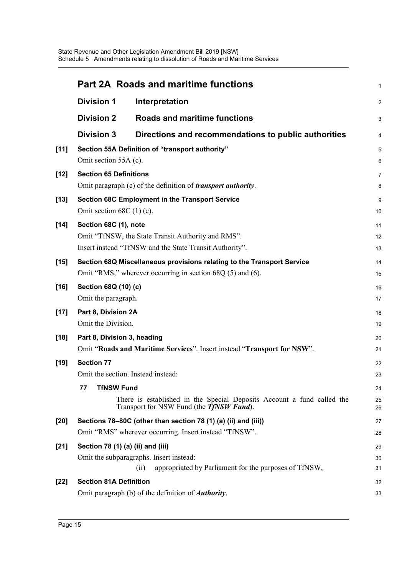|        |                                   | <b>Part 2A Roads and maritime functions</b>                                                                                | 1              |
|--------|-----------------------------------|----------------------------------------------------------------------------------------------------------------------------|----------------|
|        | <b>Division 1</b>                 | Interpretation                                                                                                             | $\overline{2}$ |
|        | <b>Division 2</b>                 | <b>Roads and maritime functions</b>                                                                                        | 3              |
|        | <b>Division 3</b>                 | Directions and recommendations to public authorities                                                                       | 4              |
| $[11]$ |                                   | Section 55A Definition of "transport authority"                                                                            | 5              |
|        | Omit section 55A (c).             |                                                                                                                            | 6              |
| $[12]$ | <b>Section 65 Definitions</b>     |                                                                                                                            | 7              |
|        |                                   | Omit paragraph (c) of the definition of <i>transport authority</i> .                                                       | 8              |
| $[13]$ |                                   | Section 68C Employment in the Transport Service                                                                            | 9              |
|        | Omit section $68C(1)$ (c).        |                                                                                                                            | 10             |
| $[14]$ | Section 68C (1), note             |                                                                                                                            | 11             |
|        |                                   | Omit "TfNSW, the State Transit Authority and RMS".                                                                         | 12             |
|        |                                   | Insert instead "TfNSW and the State Transit Authority".                                                                    | 13             |
| $[15]$ |                                   | Section 68Q Miscellaneous provisions relating to the Transport Service                                                     | 14             |
|        |                                   | Omit "RMS," wherever occurring in section $68Q(5)$ and $(6)$ .                                                             | 15             |
| $[16]$ | Section 68Q (10) (c)              |                                                                                                                            | 16             |
|        | Omit the paragraph.               |                                                                                                                            | 17             |
| $[17]$ | Part 8, Division 2A               |                                                                                                                            | 18             |
|        | Omit the Division.                |                                                                                                                            | 19             |
| $[18]$ | Part 8, Division 3, heading       |                                                                                                                            | 20             |
|        |                                   | Omit "Roads and Maritime Services". Insert instead "Transport for NSW".                                                    | 21             |
| $[19]$ | <b>Section 77</b>                 |                                                                                                                            | 22             |
|        |                                   | Omit the section. Instead instead:                                                                                         | 23             |
|        | <b>TfNSW Fund</b><br>77           |                                                                                                                            | 24             |
|        |                                   | There is established in the Special Deposits Account a fund called the<br>Transport for NSW Fund (the <b>TfNSW Fund</b> ). | 25<br>26       |
| $[20]$ |                                   | Sections 78-80C (other than section 78 (1) (a) (ii) and (iii))                                                             | 27             |
|        |                                   | Omit "RMS" wherever occurring. Insert instead "TfNSW".                                                                     | 28             |
| $[21]$ | Section 78 (1) (a) (ii) and (iii) |                                                                                                                            | 29             |
|        |                                   | Omit the subparagraphs. Insert instead:                                                                                    | 30             |
|        |                                   | appropriated by Parliament for the purposes of TfNSW,<br>(ii)                                                              | 31             |
| $[22]$ | <b>Section 81A Definition</b>     |                                                                                                                            | 32             |
|        |                                   | Omit paragraph (b) of the definition of <i>Authority</i> .                                                                 | 33             |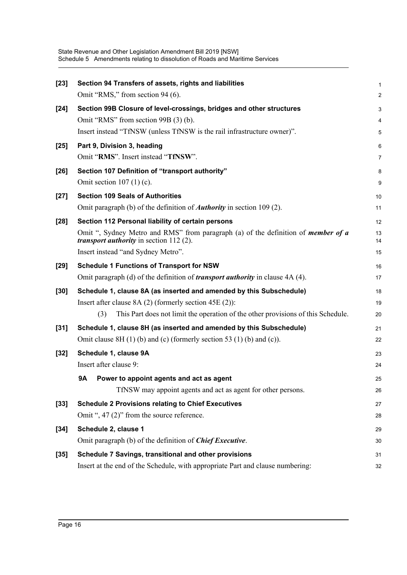| $[23]$ | Section 94 Transfers of assets, rights and liabilities                                                                                       | $\mathbf{1}$            |
|--------|----------------------------------------------------------------------------------------------------------------------------------------------|-------------------------|
|        | Omit "RMS," from section 94 (6).                                                                                                             | $\overline{2}$          |
| $[24]$ | Section 99B Closure of level-crossings, bridges and other structures                                                                         | 3                       |
|        | Omit "RMS" from section 99B (3) (b).                                                                                                         | $\overline{\mathbf{4}}$ |
|        | Insert instead "TfNSW (unless TfNSW is the rail infrastructure owner)".                                                                      | $\mathbf 5$             |
| $[25]$ | Part 9, Division 3, heading                                                                                                                  | 6                       |
|        | Omit "RMS". Insert instead "TfNSW".                                                                                                          | $\overline{7}$          |
| $[26]$ | Section 107 Definition of "transport authority"                                                                                              | 8                       |
|        | Omit section $107(1)(c)$ .                                                                                                                   | $\boldsymbol{9}$        |
| $[27]$ | <b>Section 109 Seals of Authorities</b>                                                                                                      | 10                      |
|        | Omit paragraph (b) of the definition of <b><i>Authority</i></b> in section 109 (2).                                                          | 11                      |
| $[28]$ | Section 112 Personal liability of certain persons                                                                                            | 12                      |
|        | Omit ", Sydney Metro and RMS" from paragraph (a) of the definition of <i>member of a</i><br><i>transport authority</i> in section $112(2)$ . | 13<br>14                |
|        | Insert instead "and Sydney Metro".                                                                                                           | 15                      |
| $[29]$ | <b>Schedule 1 Functions of Transport for NSW</b>                                                                                             | 16                      |
|        | Omit paragraph (d) of the definition of <i>transport authority</i> in clause 4A (4).                                                         | 17                      |
| $[30]$ | Schedule 1, clause 8A (as inserted and amended by this Subschedule)                                                                          | 18                      |
|        | Insert after clause $8A(2)$ (formerly section $45E(2)$ ):                                                                                    | 19                      |
|        | (3)<br>This Part does not limit the operation of the other provisions of this Schedule.                                                      | 20                      |
| $[31]$ | Schedule 1, clause 8H (as inserted and amended by this Subschedule)                                                                          | 21                      |
|        | Omit clause $8H(1)$ (b) and (c) (formerly section 53 (1) (b) and (c)).                                                                       | 22                      |
| $[32]$ | Schedule 1, clause 9A                                                                                                                        | 23                      |
|        | Insert after clause 9:                                                                                                                       | 24                      |
|        | 9Α<br>Power to appoint agents and act as agent                                                                                               | 25                      |
|        | TfNSW may appoint agents and act as agent for other persons.                                                                                 | 26                      |
| $[33]$ | <b>Schedule 2 Provisions relating to Chief Executives</b>                                                                                    | 27                      |
|        | Omit ", $47(2)$ " from the source reference.                                                                                                 | 28                      |
| $[34]$ | Schedule 2, clause 1                                                                                                                         | 29                      |
|        | Omit paragraph (b) of the definition of <b>Chief Executive</b> .                                                                             | 30                      |
| $[35]$ | Schedule 7 Savings, transitional and other provisions                                                                                        | 31                      |
|        | Insert at the end of the Schedule, with appropriate Part and clause numbering:                                                               | 32                      |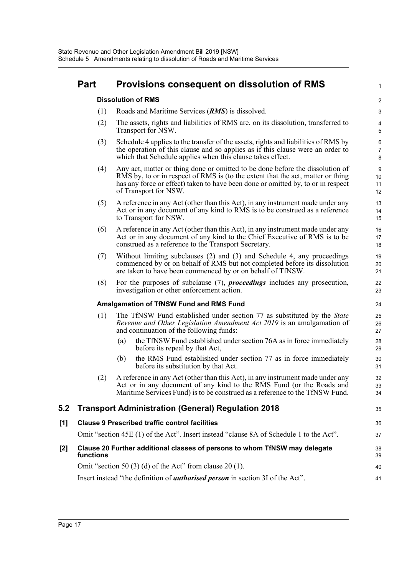| <b>Part</b> | Provisions consequent on dissolution of RMS |  |  |
|-------------|---------------------------------------------|--|--|
|-------------|---------------------------------------------|--|--|

**Dissolution of RMS**

- (1) Roads and Maritime Services (*RMS*) is dissolved.
- (2) The assets, rights and liabilities of RMS are, on its dissolution, transferred to Transport for NSW.

1

35

- (3) Schedule 4 applies to the transfer of the assets, rights and liabilities of RMS by the operation of this clause and so applies as if this clause were an order to which that Schedule applies when this clause takes effect.
- (4) Any act, matter or thing done or omitted to be done before the dissolution of RMS by, to or in respect of RMS is (to the extent that the act, matter or thing has any force or effect) taken to have been done or omitted by, to or in respect of Transport for NSW.
- (5) A reference in any Act (other than this Act), in any instrument made under any Act or in any document of any kind to RMS is to be construed as a reference to Transport for NSW.
- (6) A reference in any Act (other than this Act), in any instrument made under any Act or in any document of any kind to the Chief Executive of RMS is to be construed as a reference to the Transport Secretary.
- (7) Without limiting subclauses (2) and (3) and Schedule 4, any proceedings commenced by or on behalf of RMS but not completed before its dissolution are taken to have been commenced by or on behalf of TfNSW.
- (8) For the purposes of subclause (7), *proceedings* includes any prosecution, investigation or other enforcement action.

#### **Amalgamation of TfNSW Fund and RMS Fund**

- (1) The TfNSW Fund established under section 77 as substituted by the *State Revenue and Other Legislation Amendment Act 2019* is an amalgamation of and continuation of the following funds:
	- (a) the TfNSW Fund established under section 76A as in force immediately before its repeal by that Act,
	- (b) the RMS Fund established under section 77 as in force immediately before its substitution by that Act.
- (2) A reference in any Act (other than this Act), in any instrument made under any Act or in any document of any kind to the RMS Fund (or the Roads and Maritime Services Fund) is to be construed as a reference to the TfNSW Fund.

#### **5.2 Transport Administration (General) Regulation 2018**

Omit "section 45E (1) of the Act". Insert instead "clause 8A of Schedule 1 to the Act".

**[2] Clause 20 Further additional classes of persons to whom TfNSW may delegate functions**

| Omit "section 50 (3) (d) of the Act" from clause 20 (1).                              |  |
|---------------------------------------------------------------------------------------|--|
| Insert instead "the definition of <i>authorised person</i> in section 3I of the Act". |  |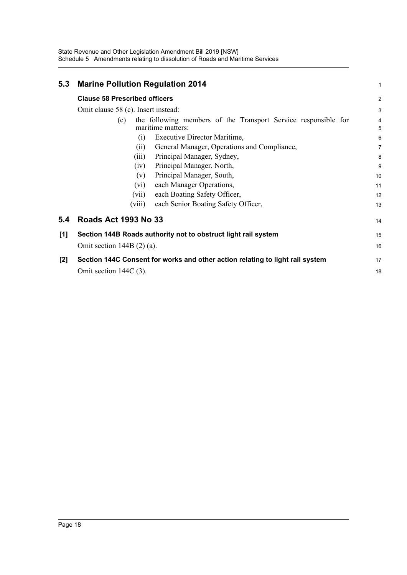State Revenue and Other Legislation Amendment Bill 2019 [NSW] Schedule 5 Amendments relating to dissolution of Roads and Maritime Services

| 5.3   | <b>Marine Pollution Regulation 2014</b>                                                    |  | 1              |  |
|-------|--------------------------------------------------------------------------------------------|--|----------------|--|
|       | <b>Clause 58 Prescribed officers</b>                                                       |  | $\overline{2}$ |  |
|       | Omit clause 58 (c). Insert instead:                                                        |  |                |  |
|       | the following members of the Transport Service responsible for<br>(c)<br>maritime matters: |  | 4<br>5         |  |
|       | Executive Director Maritime,<br>(i)                                                        |  | 6              |  |
|       | General Manager, Operations and Compliance,<br>(i)                                         |  | $\overline{7}$ |  |
|       | Principal Manager, Sydney,<br>(iii)                                                        |  | 8              |  |
|       | Principal Manager, North,<br>(iv)                                                          |  | 9              |  |
|       | Principal Manager, South,<br>(v)                                                           |  | 10             |  |
|       | each Manager Operations,<br>(vi)                                                           |  | 11             |  |
|       | each Boating Safety Officer,<br>(vii)                                                      |  | 12             |  |
|       | each Senior Boating Safety Officer,<br>(viii)                                              |  | 13             |  |
| 5.4   | <b>Roads Act 1993 No 33</b>                                                                |  | 14             |  |
| [1]   | Section 144B Roads authority not to obstruct light rail system                             |  | 15             |  |
|       | Omit section $144B(2)$ (a).                                                                |  | 16             |  |
| $[2]$ | Section 144C Consent for works and other action relating to light rail system              |  | 17             |  |
|       | Omit section $144C(3)$ .                                                                   |  | 18             |  |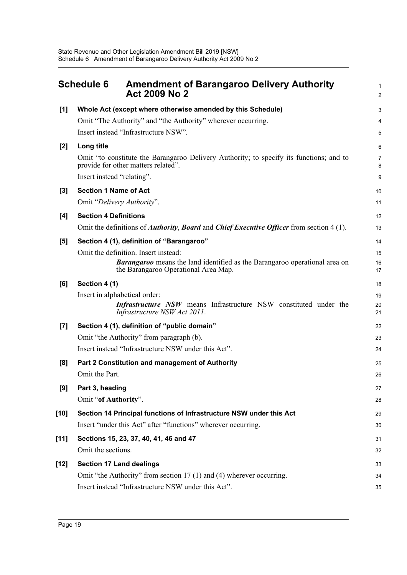<span id="page-23-0"></span>

|        | <b>Schedule 6</b><br><b>Amendment of Barangaroo Delivery Authority</b><br><b>Act 2009 No 2</b>                                     | 1<br>$\overline{2}$ |
|--------|------------------------------------------------------------------------------------------------------------------------------------|---------------------|
| [1]    | Whole Act (except where otherwise amended by this Schedule)                                                                        | 3                   |
|        | Omit "The Authority" and "the Authority" wherever occurring.                                                                       | 4                   |
|        | Insert instead "Infrastructure NSW".                                                                                               | 5                   |
| [2]    | Long title                                                                                                                         | 6                   |
|        | Omit "to constitute the Barangaroo Delivery Authority; to specify its functions; and to<br>provide for other matters related".     | $\overline{7}$<br>8 |
|        | Insert instead "relating".                                                                                                         | 9                   |
| [3]    | <b>Section 1 Name of Act</b>                                                                                                       | 10                  |
|        | Omit "Delivery Authority".                                                                                                         | 11                  |
| [4]    | <b>Section 4 Definitions</b>                                                                                                       | 12                  |
|        | Omit the definitions of <i>Authority</i> , <i>Board</i> and <i>Chief Executive Officer</i> from section 4 (1).                     | 13                  |
| [5]    | Section 4 (1), definition of "Barangaroo"                                                                                          | 14                  |
|        | Omit the definition. Insert instead:                                                                                               | 15                  |
|        | <b>Barangaroo</b> means the land identified as the Barangaroo operational area on<br>the Barangaroo Operational Area Map.          | 16<br>17            |
| [6]    | Section 4 (1)                                                                                                                      | 18                  |
|        | Insert in alphabetical order:<br>Infrastructure NSW means Infrastructure NSW constituted under the<br>Infrastructure NSW Act 2011. | 19<br>20<br>21      |
| [7]    | Section 4 (1), definition of "public domain"                                                                                       | 22                  |
|        | Omit "the Authority" from paragraph (b).                                                                                           | 23                  |
|        | Insert instead "Infrastructure NSW under this Act".                                                                                | 24                  |
| [8]    | Part 2 Constitution and management of Authority                                                                                    | 25                  |
|        | Omit the Part.                                                                                                                     | 26                  |
| [9]    | Part 3, heading                                                                                                                    | 27                  |
|        | Omit "of Authority".                                                                                                               | 28                  |
| $[10]$ | Section 14 Principal functions of Infrastructure NSW under this Act                                                                | 29                  |
|        | Insert "under this Act" after "functions" wherever occurring.                                                                      | 30                  |
| $[11]$ | Sections 15, 23, 37, 40, 41, 46 and 47                                                                                             | 31                  |
|        | Omit the sections.                                                                                                                 | 32                  |
| $[12]$ | <b>Section 17 Land dealings</b>                                                                                                    | 33                  |
|        | Omit "the Authority" from section 17 (1) and (4) wherever occurring.                                                               | 34                  |
|        | Insert instead "Infrastructure NSW under this Act".                                                                                | 35                  |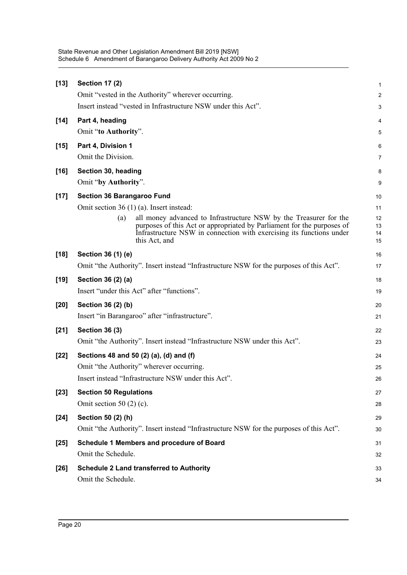| $[13]$ | <b>Section 17 (2)</b>                                                                                                                                                                                                                       | 1                    |
|--------|---------------------------------------------------------------------------------------------------------------------------------------------------------------------------------------------------------------------------------------------|----------------------|
|        | Omit "vested in the Authority" wherever occurring.                                                                                                                                                                                          | $\boldsymbol{2}$     |
|        | Insert instead "vested in Infrastructure NSW under this Act".                                                                                                                                                                               | 3                    |
| $[14]$ | Part 4, heading                                                                                                                                                                                                                             | 4                    |
|        | Omit "to Authority".                                                                                                                                                                                                                        | 5                    |
| $[15]$ | Part 4, Division 1                                                                                                                                                                                                                          | 6                    |
|        | Omit the Division.                                                                                                                                                                                                                          | 7                    |
| $[16]$ | Section 30, heading                                                                                                                                                                                                                         | 8                    |
|        | Omit "by Authority".                                                                                                                                                                                                                        | 9                    |
| $[17]$ | <b>Section 36 Barangaroo Fund</b>                                                                                                                                                                                                           | 10                   |
|        | Omit section $36(1)(a)$ . Insert instead:                                                                                                                                                                                                   | 11                   |
|        | all money advanced to Infrastructure NSW by the Treasurer for the<br>(a)<br>purposes of this Act or appropriated by Parliament for the purposes of<br>Infrastructure NSW in connection with exercising its functions under<br>this Act, and | 12<br>13<br>14<br>15 |
| $[18]$ | Section 36 (1) (e)                                                                                                                                                                                                                          | 16                   |
|        | Omit "the Authority". Insert instead "Infrastructure NSW for the purposes of this Act".                                                                                                                                                     | 17                   |
| $[19]$ | Section 36 (2) (a)                                                                                                                                                                                                                          | 18                   |
|        | Insert "under this Act" after "functions".                                                                                                                                                                                                  | 19                   |
| $[20]$ | Section 36 (2) (b)                                                                                                                                                                                                                          | 20                   |
|        | Insert "in Barangaroo" after "infrastructure".                                                                                                                                                                                              | 21                   |
| $[21]$ | <b>Section 36 (3)</b>                                                                                                                                                                                                                       | 22                   |
|        | Omit "the Authority". Insert instead "Infrastructure NSW under this Act".                                                                                                                                                                   | 23                   |
| $[22]$ | Sections 48 and 50 (2) (a), (d) and (f)                                                                                                                                                                                                     | 24                   |
|        | Omit "the Authority" wherever occurring.                                                                                                                                                                                                    | 25                   |
|        | Insert instead "Infrastructure NSW under this Act".                                                                                                                                                                                         | 26                   |
| $[23]$ | <b>Section 50 Regulations</b>                                                                                                                                                                                                               | 27                   |
|        | Omit section 50 $(2)$ $(c)$ .                                                                                                                                                                                                               | 28                   |
| $[24]$ | Section 50 (2) (h)                                                                                                                                                                                                                          | 29                   |
|        | Omit "the Authority". Insert instead "Infrastructure NSW for the purposes of this Act".                                                                                                                                                     | 30                   |
| $[25]$ | Schedule 1 Members and procedure of Board                                                                                                                                                                                                   | 31                   |
|        | Omit the Schedule.                                                                                                                                                                                                                          | 32                   |
| $[26]$ | <b>Schedule 2 Land transferred to Authority</b>                                                                                                                                                                                             | 33                   |
|        | Omit the Schedule.                                                                                                                                                                                                                          | 34                   |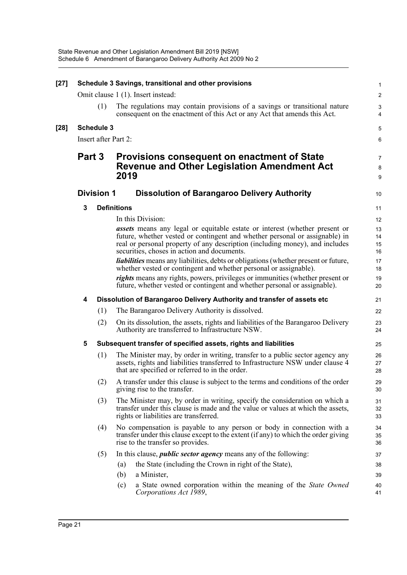| $[27]$ |        |                   | Schedule 3 Savings, transitional and other provisions                                                                                                                                                                                                                                           | $\mathbf{1}$                   |
|--------|--------|-------------------|-------------------------------------------------------------------------------------------------------------------------------------------------------------------------------------------------------------------------------------------------------------------------------------------------|--------------------------------|
|        |        |                   | Omit clause 1 (1). Insert instead:                                                                                                                                                                                                                                                              | $\overline{c}$                 |
|        |        | (1)               | The regulations may contain provisions of a savings or transitional nature<br>consequent on the enactment of this Act or any Act that amends this Act.                                                                                                                                          | $\ensuremath{\mathsf{3}}$<br>4 |
| $[28]$ |        | <b>Schedule 3</b> |                                                                                                                                                                                                                                                                                                 | $\mathbf 5$                    |
|        |        |                   | Insert after Part 2:                                                                                                                                                                                                                                                                            | 6                              |
|        | Part 3 |                   | Provisions consequent on enactment of State<br><b>Revenue and Other Legislation Amendment Act</b><br>2019                                                                                                                                                                                       | 7<br>8<br>9                    |
|        |        | <b>Division 1</b> | <b>Dissolution of Barangaroo Delivery Authority</b>                                                                                                                                                                                                                                             | 10                             |
|        | 3      |                   | <b>Definitions</b>                                                                                                                                                                                                                                                                              | 11                             |
|        |        |                   | In this Division:                                                                                                                                                                                                                                                                               | 12                             |
|        |        |                   | <b>assets</b> means any legal or equitable estate or interest (whether present or<br>future, whether vested or contingent and whether personal or assignable) in<br>real or personal property of any description (including money), and includes<br>securities, choses in action and documents. | 13<br>14<br>15<br>16           |
|        |        |                   | <i>liabilities</i> means any liabilities, debts or obligations (whether present or future,<br>whether vested or contingent and whether personal or assignable).                                                                                                                                 | 17<br>18                       |
|        |        |                   | rights means any rights, powers, privileges or immunities (whether present or<br>future, whether vested or contingent and whether personal or assignable).                                                                                                                                      | 19<br>20                       |
|        | 4      |                   | Dissolution of Barangaroo Delivery Authority and transfer of assets etc                                                                                                                                                                                                                         | 21                             |
|        |        | (1)               | The Barangaroo Delivery Authority is dissolved.                                                                                                                                                                                                                                                 | 22                             |
|        |        | (2)               | On its dissolution, the assets, rights and liabilities of the Barangaroo Delivery<br>Authority are transferred to Infrastructure NSW.                                                                                                                                                           | 23<br>24                       |
|        | 5      |                   | Subsequent transfer of specified assets, rights and liabilities                                                                                                                                                                                                                                 | 25                             |
|        |        | (1)               | The Minister may, by order in writing, transfer to a public sector agency any<br>assets, rights and liabilities transferred to Infrastructure NSW under clause 4<br>that are specified or referred to in the order.                                                                             | 26<br>27<br>28                 |
|        |        | (2)               | A transfer under this clause is subject to the terms and conditions of the order<br>giving rise to the transfer.                                                                                                                                                                                | 29<br>30                       |
|        |        | (3)               | The Minister may, by order in writing, specify the consideration on which a<br>transfer under this clause is made and the value or values at which the assets,<br>rights or liabilities are transferred.                                                                                        | 31<br>32<br>33                 |
|        |        | (4)               | No compensation is payable to any person or body in connection with a<br>transfer under this clause except to the extent (if any) to which the order giving<br>rise to the transfer so provides.                                                                                                | 34<br>35<br>36                 |
|        |        | (5)               | In this clause, <i>public sector agency</i> means any of the following:                                                                                                                                                                                                                         | 37                             |
|        |        |                   | the State (including the Crown in right of the State),<br>(a)                                                                                                                                                                                                                                   | 38                             |
|        |        |                   | a Minister,<br>(b)                                                                                                                                                                                                                                                                              | 39                             |
|        |        |                   | a State owned corporation within the meaning of the State Owned<br>(c)<br>Corporations Act 1989,                                                                                                                                                                                                | 40<br>41                       |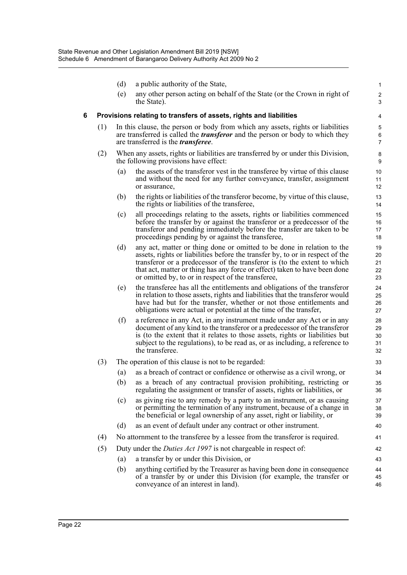|   |     | (d)               | a public authority of the State,                                                                                                                                                                                                                                                                                                                                        | $\mathbf{1}$               |
|---|-----|-------------------|-------------------------------------------------------------------------------------------------------------------------------------------------------------------------------------------------------------------------------------------------------------------------------------------------------------------------------------------------------------------------|----------------------------|
|   |     | (e)               | any other person acting on behalf of the State (or the Crown in right of<br>the State).                                                                                                                                                                                                                                                                                 | $\overline{c}$<br>3        |
| 6 |     |                   | Provisions relating to transfers of assets, rights and liabilities                                                                                                                                                                                                                                                                                                      | 4                          |
|   | (1) |                   | In this clause, the person or body from which any assets, rights or liabilities<br>are transferred is called the <i>transferor</i> and the person or body to which they<br>are transferred is the <i>transferee</i> .                                                                                                                                                   | 5<br>6<br>$\overline{7}$   |
|   | (2) |                   | When any assets, rights or liabilities are transferred by or under this Division,<br>the following provisions have effect:                                                                                                                                                                                                                                              | 8<br>9                     |
|   |     | (a)               | the assets of the transferor vest in the transferee by virtue of this clause<br>and without the need for any further conveyance, transfer, assignment<br>or assurance,                                                                                                                                                                                                  | 10<br>11<br>12             |
|   |     | (b)               | the rights or liabilities of the transferor become, by virtue of this clause,<br>the rights or liabilities of the transferee,                                                                                                                                                                                                                                           | 13<br>14                   |
|   |     | (c)               | all proceedings relating to the assets, rights or liabilities commenced<br>before the transfer by or against the transferor or a predecessor of the<br>transferor and pending immediately before the transfer are taken to be<br>proceedings pending by or against the transferee,                                                                                      | 15<br>16<br>17<br>18       |
|   |     | (d)               | any act, matter or thing done or omitted to be done in relation to the<br>assets, rights or liabilities before the transfer by, to or in respect of the<br>transferor or a predecessor of the transferor is (to the extent to which<br>that act, matter or thing has any force or effect) taken to have been done<br>or omitted by, to or in respect of the transferee, | 19<br>20<br>21<br>22<br>23 |
|   |     | (e)               | the transferee has all the entitlements and obligations of the transferor<br>in relation to those assets, rights and liabilities that the transferor would<br>have had but for the transfer, whether or not those entitlements and<br>obligations were actual or potential at the time of the transfer,                                                                 | 24<br>25<br>26<br>27       |
|   |     | (f)               | a reference in any Act, in any instrument made under any Act or in any<br>document of any kind to the transferor or a predecessor of the transferor<br>is (to the extent that it relates to those assets, rights or liabilities but<br>subject to the regulations), to be read as, or as including, a reference to<br>the transferee.                                   | 28<br>29<br>30<br>31<br>32 |
|   | (3) |                   | The operation of this clause is not to be regarded:                                                                                                                                                                                                                                                                                                                     | 33                         |
|   |     | $\left( a\right)$ | as a breach of contract or confidence or otherwise as a civil wrong, or                                                                                                                                                                                                                                                                                                 | 34                         |
|   |     |                   | (b) as a breach of any contractual provision prohibiting, restricting or<br>regulating the assignment or transfer of assets, rights or liabilities, or                                                                                                                                                                                                                  | 35<br>36                   |
|   |     | (c)               | as giving rise to any remedy by a party to an instrument, or as causing<br>or permitting the termination of any instrument, because of a change in<br>the beneficial or legal ownership of any asset, right or liability, or                                                                                                                                            | 37<br>38<br>39             |
|   |     | (d)               | as an event of default under any contract or other instrument.                                                                                                                                                                                                                                                                                                          | 40                         |
|   | (4) |                   | No attornment to the transferee by a lessee from the transferor is required.                                                                                                                                                                                                                                                                                            | 41                         |
|   | (5) |                   | Duty under the <i>Duties Act 1997</i> is not chargeable in respect of:                                                                                                                                                                                                                                                                                                  | 42                         |
|   |     | (a)               | a transfer by or under this Division, or                                                                                                                                                                                                                                                                                                                                | 43                         |
|   |     | (b)               | anything certified by the Treasurer as having been done in consequence<br>of a transfer by or under this Division (for example, the transfer or<br>conveyance of an interest in land).                                                                                                                                                                                  | 44<br>45<br>46             |
|   |     |                   |                                                                                                                                                                                                                                                                                                                                                                         |                            |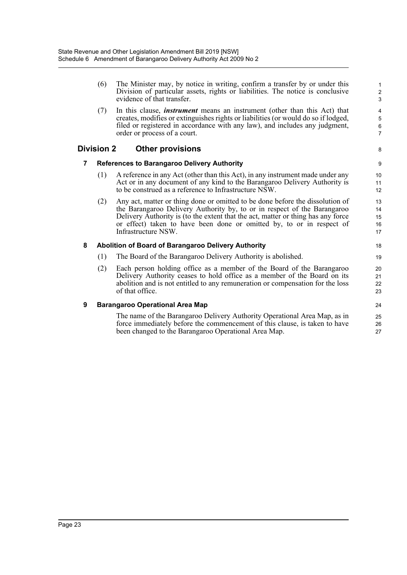|   | (6)               | The Minister may, by notice in writing, confirm a transfer by or under this<br>Division of particular assets, rights or liabilities. The notice is conclusive<br>evidence of that transfer.                                                                                                                                                   | $\mathbf{1}$<br>$\overline{2}$<br>3 |
|---|-------------------|-----------------------------------------------------------------------------------------------------------------------------------------------------------------------------------------------------------------------------------------------------------------------------------------------------------------------------------------------|-------------------------------------|
|   | (7)               | In this clause, <i>instrument</i> means an instrument (other than this Act) that<br>creates, modifies or extinguishes rights or liabilities (or would do so if lodged,<br>filed or registered in accordance with any law), and includes any judgment,<br>order or process of a court.                                                         | 4<br>5<br>6<br>$\overline{7}$       |
|   | <b>Division 2</b> | <b>Other provisions</b>                                                                                                                                                                                                                                                                                                                       | 8                                   |
| 7 |                   | <b>References to Barangaroo Delivery Authority</b>                                                                                                                                                                                                                                                                                            | 9                                   |
|   | (1)               | A reference in any Act (other than this Act), in any instrument made under any<br>Act or in any document of any kind to the Barangaroo Delivery Authority is<br>to be construed as a reference to Infrastructure NSW.                                                                                                                         | 10 <sup>1</sup><br>11<br>12         |
|   | (2)               | Any act, matter or thing done or omitted to be done before the dissolution of<br>the Barangaroo Delivery Authority by, to or in respect of the Barangaroo<br>Delivery Authority is (to the extent that the act, matter or thing has any force<br>or effect) taken to have been done or omitted by, to or in respect of<br>Infrastructure NSW. | 13<br>14<br>15<br>16<br>17          |
| 8 |                   | Abolition of Board of Barangaroo Delivery Authority                                                                                                                                                                                                                                                                                           | 18                                  |
|   | (1)               | The Board of the Barangaroo Delivery Authority is abolished.                                                                                                                                                                                                                                                                                  | 19                                  |
|   | (2)               | Each person holding office as a member of the Board of the Barangaroo<br>Delivery Authority ceases to hold office as a member of the Board on its<br>abolition and is not entitled to any remuneration or compensation for the loss<br>of that office.                                                                                        | 20<br>21<br>22<br>23                |
| 9 |                   | <b>Barangaroo Operational Area Map</b>                                                                                                                                                                                                                                                                                                        | 24                                  |
|   |                   | The name of the Barangaroo Delivery Authority Operational Area Map, as in<br>force immediately before the commencement of this clause, is taken to have<br>been changed to the Barangaroo Operational Area Map.                                                                                                                               | 25<br>26<br>27                      |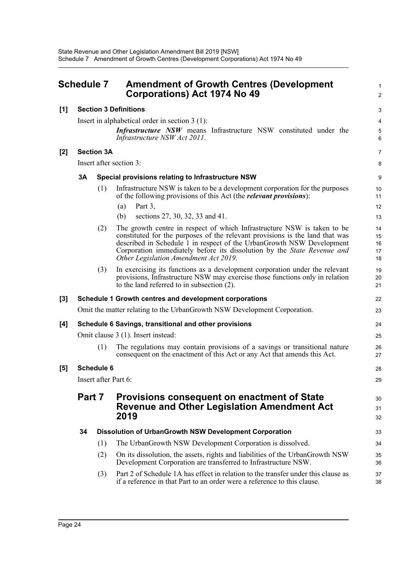<span id="page-28-0"></span>

| Schedule 7 |                                                                          |                   | <b>Amendment of Growth Centres (Development</b><br>Corporations) Act 1974 No 49                                                                                                                                                                                                                                                                      |                            |  |  |
|------------|--------------------------------------------------------------------------|-------------------|------------------------------------------------------------------------------------------------------------------------------------------------------------------------------------------------------------------------------------------------------------------------------------------------------------------------------------------------------|----------------------------|--|--|
| [1]        |                                                                          |                   | <b>Section 3 Definitions</b>                                                                                                                                                                                                                                                                                                                         | 3                          |  |  |
|            |                                                                          |                   | Insert in alphabetical order in section $3(1)$ :                                                                                                                                                                                                                                                                                                     | 4                          |  |  |
|            |                                                                          |                   | <b>Infrastructure NSW</b> means Infrastructure NSW constituted under the<br>Infrastructure NSW Act 2011.                                                                                                                                                                                                                                             | $\sqrt{5}$<br>6            |  |  |
| $[2]$      |                                                                          | <b>Section 3A</b> |                                                                                                                                                                                                                                                                                                                                                      | $\overline{7}$             |  |  |
|            |                                                                          |                   | Insert after section 3:                                                                                                                                                                                                                                                                                                                              | 8                          |  |  |
|            | 3A                                                                       |                   | Special provisions relating to Infrastructure NSW                                                                                                                                                                                                                                                                                                    | 9                          |  |  |
|            |                                                                          | (1)               | Infrastructure NSW is taken to be a development corporation for the purposes<br>of the following provisions of this Act (the <i>relevant provisions</i> ):                                                                                                                                                                                           | 10<br>11                   |  |  |
|            |                                                                          |                   | Part 3,<br>(a)                                                                                                                                                                                                                                                                                                                                       | 12                         |  |  |
|            |                                                                          |                   | sections 27, 30, 32, 33 and 41.<br>(b)                                                                                                                                                                                                                                                                                                               | 13                         |  |  |
|            |                                                                          | (2)               | The growth centre in respect of which Infrastructure NSW is taken to be<br>constituted for the purposes of the relevant provisions is the land that was<br>described in Schedule 1 in respect of the UrbanGrowth NSW Development<br>Corporation immediately before its dissolution by the State Revenue and<br>Other Legislation Amendment Act 2019. | 14<br>15<br>16<br>17<br>18 |  |  |
|            |                                                                          | (3)               | In exercising its functions as a development corporation under the relevant<br>provisions, Infrastructure NSW may exercise those functions only in relation<br>to the land referred to in subsection $(2)$ .                                                                                                                                         | 19<br>20<br>21             |  |  |
| [3]        |                                                                          |                   | Schedule 1 Growth centres and development corporations                                                                                                                                                                                                                                                                                               | 22                         |  |  |
|            | Omit the matter relating to the UrbanGrowth NSW Development Corporation. |                   |                                                                                                                                                                                                                                                                                                                                                      |                            |  |  |
| [4]        | Schedule 6 Savings, transitional and other provisions                    |                   |                                                                                                                                                                                                                                                                                                                                                      |                            |  |  |
|            |                                                                          |                   | Omit clause 3 (1). Insert instead:                                                                                                                                                                                                                                                                                                                   | 25                         |  |  |
|            |                                                                          | (1)               | The regulations may contain provisions of a savings or transitional nature<br>consequent on the enactment of this Act or any Act that amends this Act.                                                                                                                                                                                               | 26<br>27                   |  |  |
| [5]        |                                                                          | <b>Schedule 6</b> |                                                                                                                                                                                                                                                                                                                                                      | 28                         |  |  |
|            | Insert after Part 6:<br>29                                               |                   |                                                                                                                                                                                                                                                                                                                                                      |                            |  |  |
|            | Part 7                                                                   |                   | <b>Provisions consequent on enactment of State</b><br><b>Revenue and Other Legislation Amendment Act</b><br>2019                                                                                                                                                                                                                                     | 30<br>31<br>32             |  |  |
|            | 34                                                                       |                   | <b>Dissolution of UrbanGrowth NSW Development Corporation</b>                                                                                                                                                                                                                                                                                        | 33                         |  |  |
|            |                                                                          | (1)               | The UrbanGrowth NSW Development Corporation is dissolved.                                                                                                                                                                                                                                                                                            | 34                         |  |  |
|            |                                                                          | (2)               | On its dissolution, the assets, rights and liabilities of the UrbanGrowth NSW<br>Development Corporation are transferred to Infrastructure NSW.                                                                                                                                                                                                      | 35<br>36                   |  |  |
|            |                                                                          | (3)               | Part 2 of Schedule 1A has effect in relation to the transfer under this clause as<br>if a reference in that Part to an order were a reference to this clause.                                                                                                                                                                                        | 37<br>38                   |  |  |